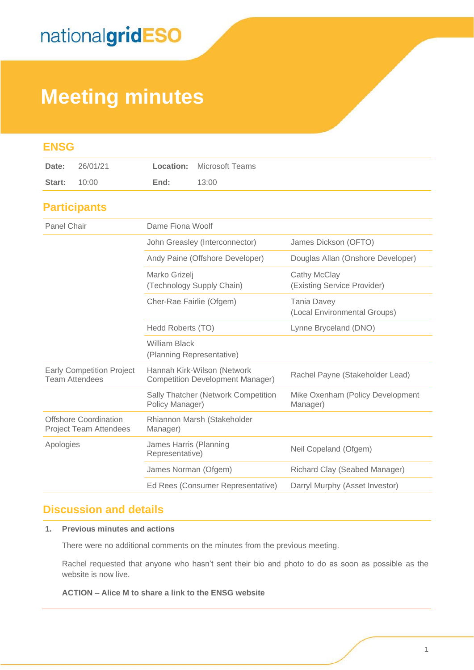## **Meeting minutes**

| <b>ENSG</b>                                                   |                                                                        |                                                    |
|---------------------------------------------------------------|------------------------------------------------------------------------|----------------------------------------------------|
| 26/01/21<br>Date:                                             | Location:<br>Microsoft Teams                                           |                                                    |
| 10:00<br>Start:                                               | End:<br>13:00                                                          |                                                    |
| <b>Participants</b>                                           |                                                                        |                                                    |
| Panel Chair                                                   | Dame Fiona Woolf                                                       |                                                    |
|                                                               | John Greasley (Interconnector)                                         | James Dickson (OFTO)                               |
|                                                               | Andy Paine (Offshore Developer)                                        | Douglas Allan (Onshore Developer)                  |
|                                                               | Marko Grizelj<br>(Technology Supply Chain)                             | Cathy McClay<br>(Existing Service Provider)        |
|                                                               | Cher-Rae Fairlie (Ofgem)                                               | <b>Tania Davey</b><br>(Local Environmental Groups) |
|                                                               | Hedd Roberts (TO)                                                      | Lynne Bryceland (DNO)                              |
|                                                               | <b>William Black</b><br>(Planning Representative)                      |                                                    |
| <b>Early Competition Project</b><br><b>Team Attendees</b>     | Hannah Kirk-Wilson (Network<br><b>Competition Development Manager)</b> | Rachel Payne (Stakeholder Lead)                    |
|                                                               | Sally Thatcher (Network Competition<br>Policy Manager)                 | Mike Oxenham (Policy Development<br>Manager)       |
| <b>Offshore Coordination</b><br><b>Project Team Attendees</b> | Rhiannon Marsh (Stakeholder<br>Manager)                                |                                                    |
| Apologies                                                     | James Harris (Planning<br>Representative)                              | Neil Copeland (Ofgem)                              |
|                                                               | James Norman (Ofgem)                                                   | Richard Clay (Seabed Manager)                      |
|                                                               | Ed Rees (Consumer Representative)                                      | Darryl Murphy (Asset Investor)                     |

### **Discussion and details**

#### **1. Previous minutes and actions**

There were no additional comments on the minutes from the previous meeting.

Rachel requested that anyone who hasn't sent their bio and photo to do as soon as possible as the website is now live.

#### **ACTION – Alice M to share a link to the ENSG website**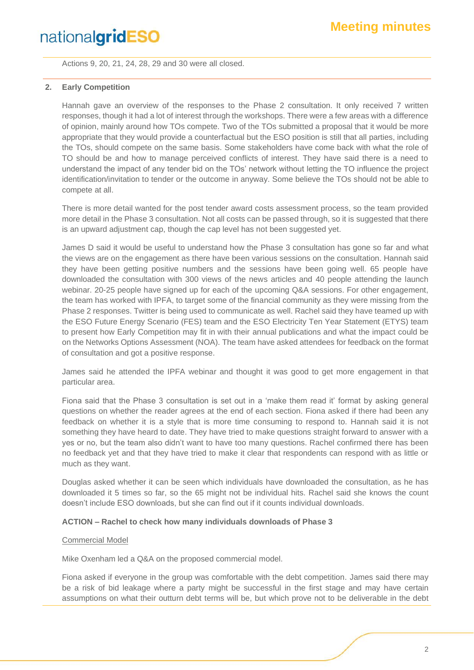Actions 9, 20, 21, 24, 28, 29 and 30 were all closed.

#### **2. Early Competition**

Hannah gave an overview of the responses to the Phase 2 consultation. It only received 7 written responses, though it had a lot of interest through the workshops. There were a few areas with a difference of opinion, mainly around how TOs compete. Two of the TOs submitted a proposal that it would be more appropriate that they would provide a counterfactual but the ESO position is still that all parties, including the TOs, should compete on the same basis. Some stakeholders have come back with what the role of TO should be and how to manage perceived conflicts of interest. They have said there is a need to understand the impact of any tender bid on the TOs' network without letting the TO influence the project identification/invitation to tender or the outcome in anyway. Some believe the TOs should not be able to compete at all.

There is more detail wanted for the post tender award costs assessment process, so the team provided more detail in the Phase 3 consultation. Not all costs can be passed through, so it is suggested that there is an upward adjustment cap, though the cap level has not been suggested yet.

James D said it would be useful to understand how the Phase 3 consultation has gone so far and what the views are on the engagement as there have been various sessions on the consultation. Hannah said they have been getting positive numbers and the sessions have been going well. 65 people have downloaded the consultation with 300 views of the news articles and 40 people attending the launch webinar. 20-25 people have signed up for each of the upcoming Q&A sessions. For other engagement, the team has worked with IPFA, to target some of the financial community as they were missing from the Phase 2 responses. Twitter is being used to communicate as well. Rachel said they have teamed up with the ESO Future Energy Scenario (FES) team and the ESO Electricity Ten Year Statement (ETYS) team to present how Early Competition may fit in with their annual publications and what the impact could be on the Networks Options Assessment (NOA). The team have asked attendees for feedback on the format of consultation and got a positive response.

James said he attended the IPFA webinar and thought it was good to get more engagement in that particular area.

Fiona said that the Phase 3 consultation is set out in a 'make them read it' format by asking general questions on whether the reader agrees at the end of each section. Fiona asked if there had been any feedback on whether it is a style that is more time consuming to respond to. Hannah said it is not something they have heard to date. They have tried to make questions straight forward to answer with a yes or no, but the team also didn't want to have too many questions. Rachel confirmed there has been no feedback yet and that they have tried to make it clear that respondents can respond with as little or much as they want.

Douglas asked whether it can be seen which individuals have downloaded the consultation, as he has downloaded it 5 times so far, so the 65 might not be individual hits. Rachel said she knows the count doesn't include ESO downloads, but she can find out if it counts individual downloads.

#### **ACTION – Rachel to check how many individuals downloads of Phase 3**

#### Commercial Model

Mike Oxenham led a Q&A on the proposed commercial model.

Fiona asked if everyone in the group was comfortable with the debt competition. James said there may be a risk of bid leakage where a party might be successful in the first stage and may have certain assumptions on what their outturn debt terms will be, but which prove not to be deliverable in the debt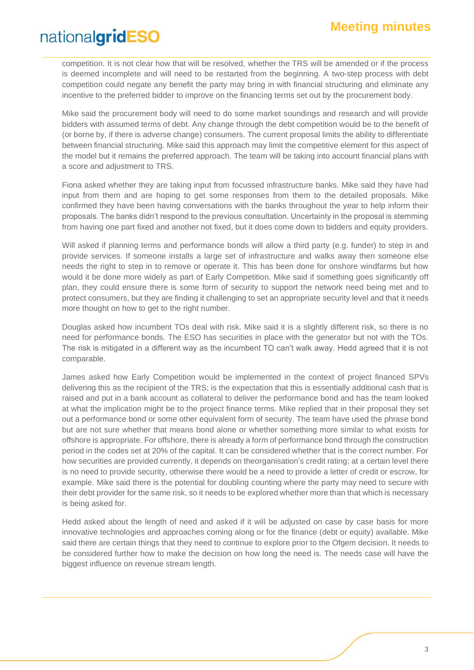competition. It is not clear how that will be resolved, whether the TRS will be amended or if the process is deemed incomplete and will need to be restarted from the beginning. A two-step process with debt competition could negate any benefit the party may bring in with financial structuring and eliminate any incentive to the preferred bidder to improve on the financing terms set out by the procurement body.

Mike said the procurement body will need to do some market soundings and research and will provide bidders with assumed terms of debt. Any change through the debt competition would be to the benefit of (or borne by, if there is adverse change) consumers. The current proposal limits the ability to differentiate between financial structuring. Mike said this approach may limit the competitive element for this aspect of the model but it remains the preferred approach. The team will be taking into account financial plans with a score and adjustment to TRS.

Fiona asked whether they are taking input from focussed infrastructure banks. Mike said they have had input from them and are hoping to get some responses from them to the detailed proposals. Mike confirmed they have been having conversations with the banks throughout the year to help inform their proposals. The banks didn't respond to the previous consultation. Uncertainty in the proposal is stemming from having one part fixed and another not fixed, but it does come down to bidders and equity providers.

Will asked if planning terms and performance bonds will allow a third party (e.g. funder) to step in and provide services. If someone installs a large set of infrastructure and walks away then someone else needs the right to step in to remove or operate it. This has been done for onshore windfarms but how would it be done more widely as part of Early Competition. Mike said if something goes significantly off plan, they could ensure there is some form of security to support the network need being met and to protect consumers, but they are finding it challenging to set an appropriate security level and that it needs more thought on how to get to the right number.

Douglas asked how incumbent TOs deal with risk. Mike said it is a slightly different risk, so there is no need for performance bonds. The ESO has securities in place with the generator but not with the TOs. The risk is mitigated in a different way as the incumbent TO can't walk away. Hedd agreed that it is not comparable.

James asked how Early Competition would be implemented in the context of project financed SPVs delivering this as the recipient of the TRS; is the expectation that this is essentially additional cash that is raised and put in a bank account as collateral to deliver the performance bond and has the team looked at what the implication might be to the project finance terms. Mike replied that in their proposal they set out a performance bond or some other equivalent form of security. The team have used the phrase bond but are not sure whether that means bond alone or whether something more similar to what exists for offshore is appropriate. For offshore, there is already a form of performance bond through the construction period in the codes set at 20% of the capital. It can be considered whether that is the correct number. For how securities are provided currently, it depends on theorganisation's credit rating; at a certain level there is no need to provide security, otherwise there would be a need to provide a letter of credit or escrow, for example. Mike said there is the potential for doubling counting where the party may need to secure with their debt provider for the same risk, so it needs to be explored whether more than that which is necessary is being asked for.

Hedd asked about the length of need and asked if it will be adjusted on case by case basis for more innovative technologies and approaches coming along or for the finance (debt or equity) available. Mike said there are certain things that they need to continue to explore prior to the Ofgem decision. It needs to be considered further how to make the decision on how long the need is. The needs case will have the biggest influence on revenue stream length.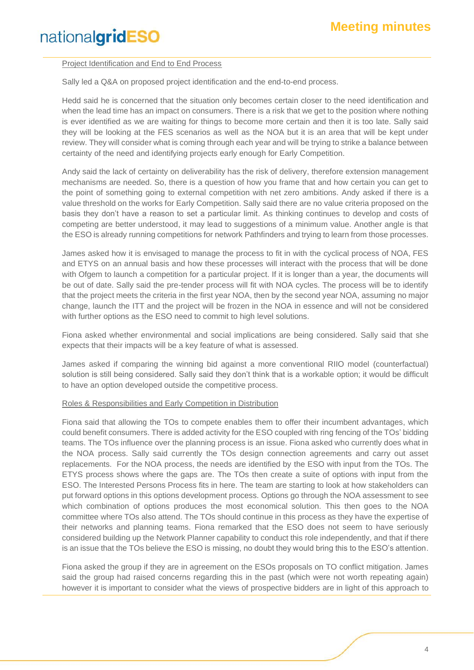#### Project Identification and End to End Process

Sally led a Q&A on proposed project identification and the end-to-end process.

Hedd said he is concerned that the situation only becomes certain closer to the need identification and when the lead time has an impact on consumers. There is a risk that we get to the position where nothing is ever identified as we are waiting for things to become more certain and then it is too late. Sally said they will be looking at the FES scenarios as well as the NOA but it is an area that will be kept under review. They will consider what is coming through each year and will be trying to strike a balance between certainty of the need and identifying projects early enough for Early Competition.

Andy said the lack of certainty on deliverability has the risk of delivery, therefore extension management mechanisms are needed. So, there is a question of how you frame that and how certain you can get to the point of something going to external competition with net zero ambitions. Andy asked if there is a value threshold on the works for Early Competition. Sally said there are no value criteria proposed on the basis they don't have a reason to set a particular limit. As thinking continues to develop and costs of competing are better understood, it may lead to suggestions of a minimum value. Another angle is that the ESO is already running competitions for network Pathfinders and trying to learn from those processes.

James asked how it is envisaged to manage the process to fit in with the cyclical process of NOA, FES and ETYS on an annual basis and how these processes will interact with the process that will be done with Ofgem to launch a competition for a particular project. If it is longer than a year, the documents will be out of date. Sally said the pre-tender process will fit with NOA cycles. The process will be to identify that the project meets the criteria in the first year NOA, then by the second year NOA, assuming no major change, launch the ITT and the project will be frozen in the NOA in essence and will not be considered with further options as the ESO need to commit to high level solutions.

Fiona asked whether environmental and social implications are being considered. Sally said that she expects that their impacts will be a key feature of what is assessed.

James asked if comparing the winning bid against a more conventional RIIO model (counterfactual) solution is still being considered. Sally said they don't think that is a workable option; it would be difficult to have an option developed outside the competitive process.

#### Roles & Responsibilities and Early Competition in Distribution

Fiona said that allowing the TOs to compete enables them to offer their incumbent advantages, which could benefit consumers. There is added activity for the ESO coupled with ring fencing of the TOs' bidding teams. The TOs influence over the planning process is an issue. Fiona asked who currently does what in the NOA process. Sally said currently the TOs design connection agreements and carry out asset replacements. For the NOA process, the needs are identified by the ESO with input from the TOs. The ETYS process shows where the gaps are. The TOs then create a suite of options with input from the ESO. The Interested Persons Process fits in here. The team are starting to look at how stakeholders can put forward options in this options development process. Options go through the NOA assessment to see which combination of options produces the most economical solution. This then goes to the NOA committee where TOs also attend. The TOs should continue in this process as they have the expertise of their networks and planning teams. Fiona remarked that the ESO does not seem to have seriously considered building up the Network Planner capability to conduct this role independently, and that if there is an issue that the TOs believe the ESO is missing, no doubt they would bring this to the ESO's attention.

Fiona asked the group if they are in agreement on the ESOs proposals on TO conflict mitigation. James said the group had raised concerns regarding this in the past (which were not worth repeating again) however it is important to consider what the views of prospective bidders are in light of this approach to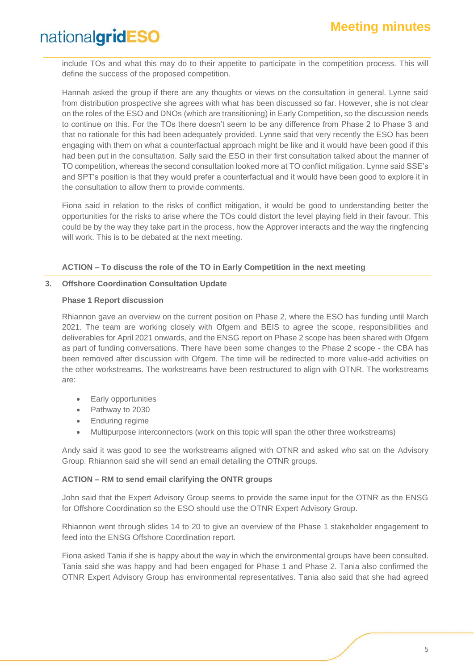include TOs and what this may do to their appetite to participate in the competition process. This will define the success of the proposed competition.

Hannah asked the group if there are any thoughts or views on the consultation in general. Lynne said from distribution prospective she agrees with what has been discussed so far. However, she is not clear on the roles of the ESO and DNOs (which are transitioning) in Early Competition, so the discussion needs to continue on this. For the TOs there doesn't seem to be any difference from Phase 2 to Phase 3 and that no rationale for this had been adequately provided. Lynne said that very recently the ESO has been engaging with them on what a counterfactual approach might be like and it would have been good if this had been put in the consultation. Sally said the ESO in their first consultation talked about the manner of TO competition, whereas the second consultation looked more at TO conflict mitigation. Lynne said SSE's and SPT's position is that they would prefer a counterfactual and it would have been good to explore it in the consultation to allow them to provide comments.

Fiona said in relation to the risks of conflict mitigation, it would be good to understanding better the opportunities for the risks to arise where the TOs could distort the level playing field in their favour. This could be by the way they take part in the process, how the Approver interacts and the way the ringfencing will work. This is to be debated at the next meeting.

#### **ACTION – To discuss the role of the TO in Early Competition in the next meeting**

#### **3. Offshore Coordination Consultation Update**

#### **Phase 1 Report discussion**

Rhiannon gave an overview on the current position on Phase 2, where the ESO has funding until March 2021. The team are working closely with Ofgem and BEIS to agree the scope, responsibilities and deliverables for April 2021 onwards, and the ENSG report on Phase 2 scope has been shared with Ofgem as part of funding conversations. There have been some changes to the Phase 2 scope - the CBA has been removed after discussion with Ofgem. The time will be redirected to more value-add activities on the other workstreams. The workstreams have been restructured to align with OTNR. The workstreams are:

- Early opportunities
- Pathway to 2030
- **Enduring regime**
- Multipurpose interconnectors (work on this topic will span the other three workstreams)

Andy said it was good to see the workstreams aligned with OTNR and asked who sat on the Advisory Group. Rhiannon said she will send an email detailing the OTNR groups.

#### **ACTION – RM to send email clarifying the ONTR groups**

John said that the Expert Advisory Group seems to provide the same input for the OTNR as the ENSG for Offshore Coordination so the ESO should use the OTNR Expert Advisory Group.

Rhiannon went through slides 14 to 20 to give an overview of the Phase 1 stakeholder engagement to feed into the ENSG Offshore Coordination report.

Fiona asked Tania if she is happy about the way in which the environmental groups have been consulted. Tania said she was happy and had been engaged for Phase 1 and Phase 2. Tania also confirmed the OTNR Expert Advisory Group has environmental representatives. Tania also said that she had agreed